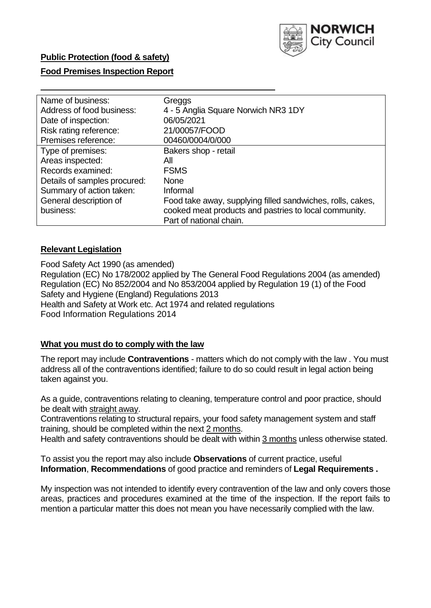

# **Food Premises Inspection Report**

| Name of business:            | Greggs                                                     |
|------------------------------|------------------------------------------------------------|
| Address of food business:    | 4 - 5 Anglia Square Norwich NR3 1DY                        |
| Date of inspection:          | 06/05/2021                                                 |
| Risk rating reference:       | 21/00057/FOOD                                              |
| Premises reference:          | 00460/0004/0/000                                           |
| Type of premises:            | Bakers shop - retail                                       |
| Areas inspected:             | All                                                        |
| Records examined:            | <b>FSMS</b>                                                |
| Details of samples procured: | <b>None</b>                                                |
| Summary of action taken:     | Informal                                                   |
| General description of       | Food take away, supplying filled sandwiches, rolls, cakes, |
| business:                    | cooked meat products and pastries to local community.      |
|                              | Part of national chain.                                    |

# **Relevant Legislation**

 Food Safety Act 1990 (as amended) Regulation (EC) No 178/2002 applied by The General Food Regulations 2004 (as amended) Regulation (EC) No 852/2004 and No 853/2004 applied by Regulation 19 (1) of the Food Safety and Hygiene (England) Regulations 2013 Health and Safety at Work etc. Act 1974 and related regulations Food Information Regulations 2014

### **What you must do to comply with the law**

 The report may include **Contraventions** - matters which do not comply with the law . You must address all of the contraventions identified; failure to do so could result in legal action being taken against you.

 As a guide, contraventions relating to cleaning, temperature control and poor practice, should be dealt with straight away.

 Contraventions relating to structural repairs, your food safety management system and staff training, should be completed within the next 2 months.

Health and safety contraventions should be dealt with within 3 months unless otherwise stated.

 To assist you the report may also include **Observations** of current practice, useful **Information**, **Recommendations** of good practice and reminders of **Legal Requirements .** 

 My inspection was not intended to identify every contravention of the law and only covers those areas, practices and procedures examined at the time of the inspection. If the report fails to mention a particular matter this does not mean you have necessarily complied with the law.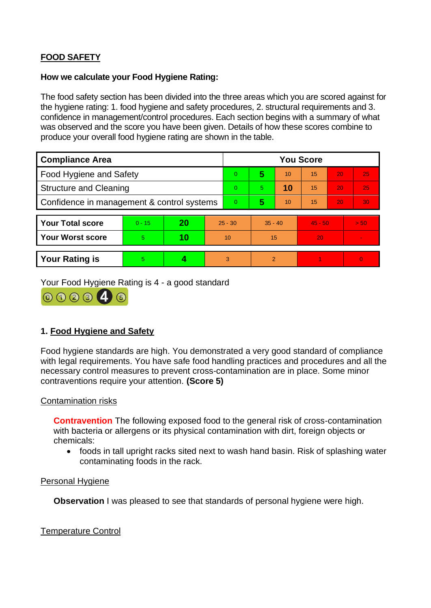# **FOOD SAFETY**

### **How we calculate your Food Hygiene Rating:**

 The food safety section has been divided into the three areas which you are scored against for the hygiene rating: 1. food hygiene and safety procedures, 2. structural requirements and 3. confidence in management/control procedures. Each section begins with a summary of what was observed and the score you have been given. Details of how these scores combine to produce your overall food hygiene rating are shown in the table.

| <b>Compliance Area</b>                     |          |    |           | <b>You Score</b> |                |    |           |    |                |  |  |
|--------------------------------------------|----------|----|-----------|------------------|----------------|----|-----------|----|----------------|--|--|
| <b>Food Hygiene and Safety</b>             |          |    |           | $\overline{0}$   | 5              | 10 | 15        | 20 | 25             |  |  |
| <b>Structure and Cleaning</b>              |          |    |           | $\Omega$         | 5.             | 10 | 15        | 20 | 25             |  |  |
| Confidence in management & control systems |          |    |           | $\Omega$         | 5              | 10 | 15        | 20 | 30             |  |  |
|                                            |          |    |           |                  |                |    |           |    |                |  |  |
| <b>Your Total score</b>                    | $0 - 15$ | 20 | $25 - 30$ |                  | $35 - 40$      |    | $45 - 50$ |    | > 50           |  |  |
| Your Worst score                           | 5.       | 10 | 10        |                  | 15             |    | 20        |    | $\blacksquare$ |  |  |
|                                            |          |    |           |                  |                |    |           |    |                |  |  |
| <b>Your Rating is</b>                      | 5        |    |           | 3                | $\overline{2}$ |    |           |    | $\overline{0}$ |  |  |

Your Food Hygiene Rating is 4 - a good standard



# **1. Food Hygiene and Safety**

 with legal requirements. You have safe food handling practices and procedures and all the Food hygiene standards are high. You demonstrated a very good standard of compliance necessary control measures to prevent cross-contamination are in place. Some minor contraventions require your attention. **(Score 5)** 

### Contamination risks

 with bacteria or allergens or its physical contamination with dirt, foreign objects or **Contravention** The following exposed food to the general risk of cross-contamination chemicals:

• foods in tall upright racks sited next to wash hand basin. Risk of splashing water contaminating foods in the rack.

#### Personal Hygiene

**Observation** I was pleased to see that standards of personal hygiene were high.

### Temperature Control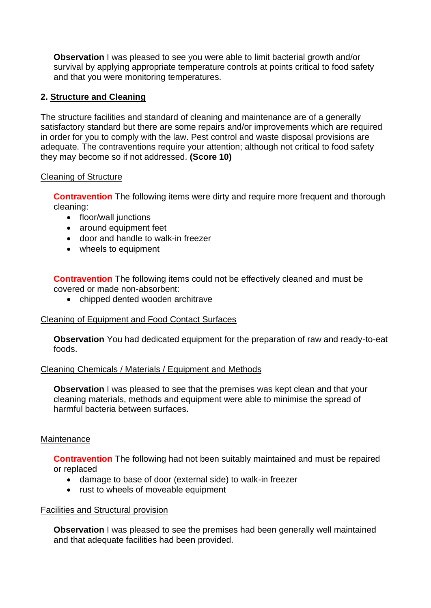**Observation** I was pleased to see you were able to limit bacterial growth and/or survival by applying appropriate temperature controls at points critical to food safety and that you were monitoring temperatures.

# **2. Structure and Cleaning**

 satisfactory standard but there are some repairs and/or improvements which are required The structure facilities and standard of cleaning and maintenance are of a generally in order for you to comply with the law. Pest control and waste disposal provisions are adequate. The contraventions require your attention; although not critical to food safety they may become so if not addressed. **(Score 10)** 

### Cleaning of Structure

**Contravention** The following items were dirty and require more frequent and thorough cleaning:

- floor/wall junctions
- around equipment feet
- door and handle to walk-in freezer
- wheels to equipment

**Contravention** The following items could not be effectively cleaned and must be covered or made non-absorbent:

• chipped dented wooden architrave

### Cleaning of Equipment and Food Contact Surfaces

**Observation** You had dedicated equipment for the preparation of raw and ready-to-eat foods.

### Cleaning Chemicals / Materials / Equipment and Methods

**Observation** I was pleased to see that the premises was kept clean and that your cleaning materials, methods and equipment were able to minimise the spread of harmful bacteria between surfaces.

### **Maintenance**

**Contravention** The following had not been suitably maintained and must be repaired or replaced

- damage to base of door (external side) to walk-in freezer
- rust to wheels of moveable equipment

### Facilities and Structural provision

**Observation** I was pleased to see the premises had been generally well maintained and that adequate facilities had been provided.